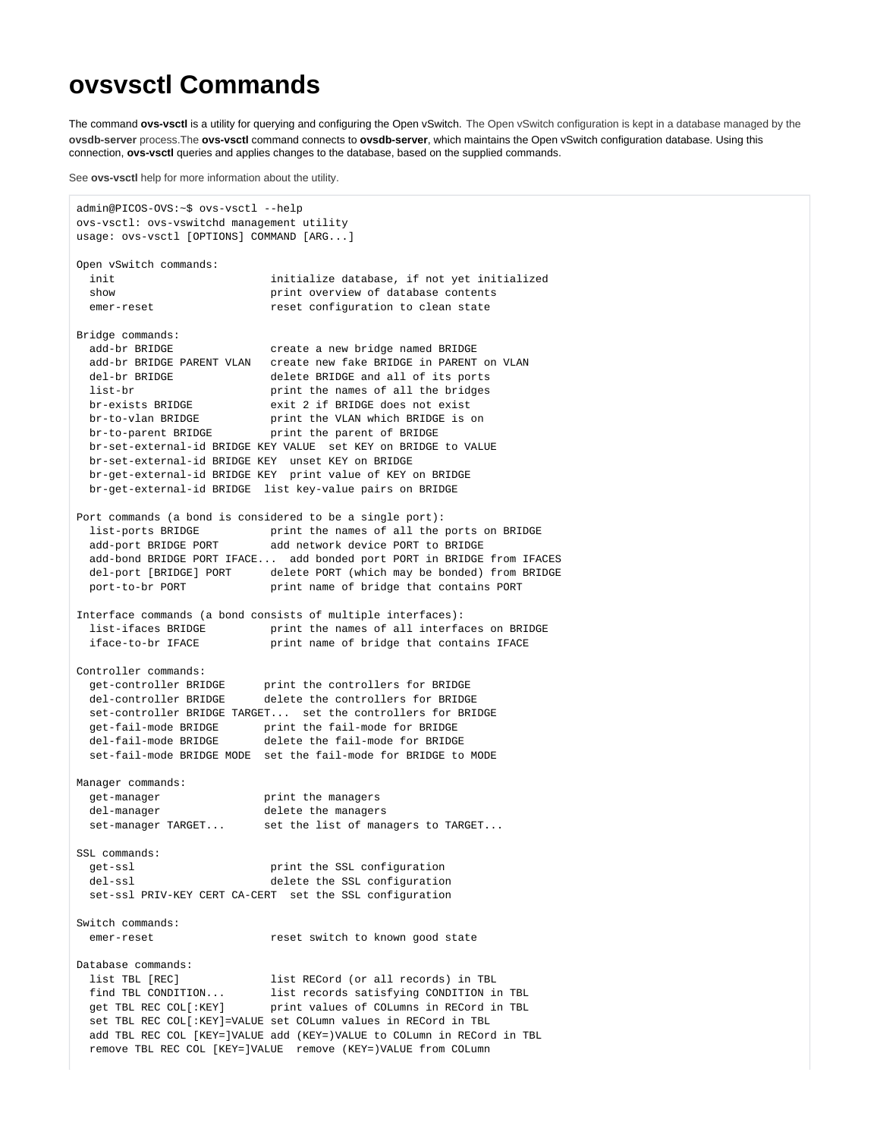## **ovsvsctl Commands**

The command **ovs-vsctl** is a utility for querying and configuring the Open vSwitch. The Open vSwitch configuration is kept in a database managed by the **ovsdb-server** process.The **ovs-vsctl** command connects to **ovsdb-server**, which maintains the Open vSwitch configuration database. Using this connection, **ovs-vsctl** queries and applies changes to the database, based on the supplied commands.

See **ovs-vsctl** help for more information about the utility.

```
admin@PICOS-OVS:~$ ovs-vsctl --help
ovs-vsctl: ovs-vswitchd management utility
usage: ovs-vsctl [OPTIONS] COMMAND [ARG...]
Open vSwitch commands:
  init initialize database, if not yet initialized
  show print overview of database contents
 emer-reset \qquad \qquad \text{reset} reset configuration to clean state
Bridge commands:
  add-br BRIDGE create a new bridge named BRIDGE
 add-br BRIDGE PARENT VLAN create new fake BRIDGE in PARENT on VLAN del-br BRIDGE and all of its ports
                           delete BRIDGE and all of its ports
 list-br print the names of all the bridges
 br-exists BRIDGE exit 2 if BRIDGE does not exist
 br-to-vlan BRIDGE print the VLAN which BRIDGE is on<br>br-to-parent prince
 br-to-parent BRIDGE print the parent of BRIDGE
  br-set-external-id BRIDGE KEY VALUE set KEY on BRIDGE to VALUE
  br-set-external-id BRIDGE KEY unset KEY on BRIDGE
  br-get-external-id BRIDGE KEY print value of KEY on BRIDGE
  br-get-external-id BRIDGE list key-value pairs on BRIDGE
Port commands (a bond is considered to be a single port):
 list-ports BRIDGE print the names of all the ports on BRIDGE
 add-port BRIDGE PORT add network device PORT to BRIDGE
  add-bond BRIDGE PORT IFACE... add bonded port PORT in BRIDGE from IFACES
  del-port [BRIDGE] PORT delete PORT (which may be bonded) from BRIDGE
  port-to-br PORT print name of bridge that contains PORT
Interface commands (a bond consists of multiple interfaces):
 list-ifaces BRIDGE print the names of all interfaces on BRIDGE
  iface-to-br IFACE print name of bridge that contains IFACE
Controller commands:
 get-controller BRIDGE print the controllers for BRIDGE
  del-controller BRIDGE delete the controllers for BRIDGE
  set-controller BRIDGE TARGET... set the controllers for BRIDGE
 get-fail-mode BRIDGE print the fail-mode for BRIDGE del-fail-mode BRIDGE delete the fail-mode for BRIDGE
                          delete the fail-mode for BRIDGE
  set-fail-mode BRIDGE MODE set the fail-mode for BRIDGE to MODE
Manager commands:
 get-manager print the managers
  del-manager delete the managers
 set-manager TARGET... set the list of managers to TARGET...
SSL commands:
  get-ssl print the SSL configuration
  del-ssl delete the SSL configuration
  set-ssl PRIV-KEY CERT CA-CERT set the SSL configuration
Switch commands:
 emer-reset reset switch to known good state
Database commands:
 list TBL [REC] list RECord (or all records) in TBL
 find TBL CONDITION... list records satisfying CONDITION in TBL
 get TBL REC COL[:KEY] print values of COLumns in RECord in TBL
  set TBL REC COL[:KEY]=VALUE set COLumn values in RECord in TBL
  add TBL REC COL [KEY=]VALUE add (KEY=)VALUE to COLumn in RECord in TBL
  remove TBL REC COL [KEY=]VALUE remove (KEY=)VALUE from COLumn
```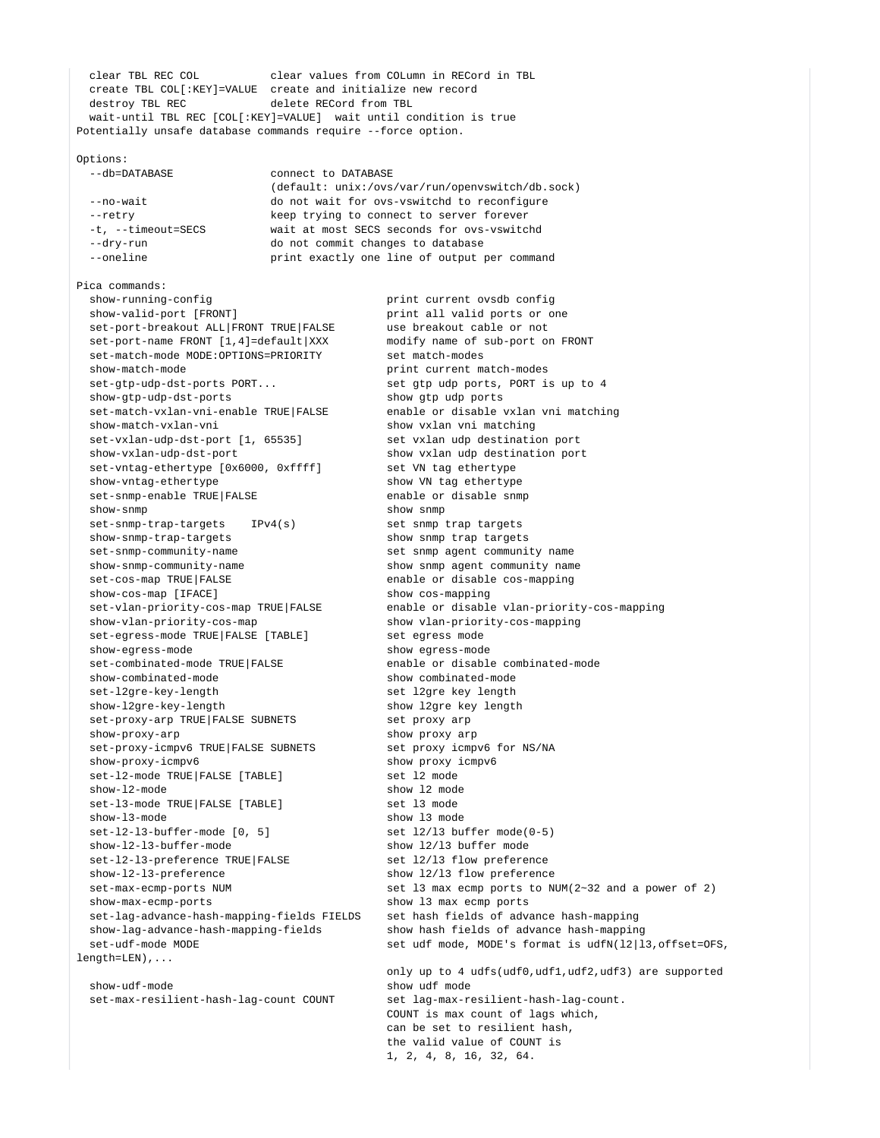clear TBL REC COL clear values from COLumn in RECord in TBL create TBL COL[:KEY]=VALUE create and initialize new record destroy TBL REC delete RECord from TBL wait-until TBL REC [COL[:KEY]=VALUE] wait until condition is true Potentially unsafe database commands require --force option.

## Options:

--db=DATABASE connect to DATABASE

## (default: unix:/ovs/var/run/openvswitch/db.sock)

 --no-wait do not wait for ovs-vswitchd to reconfigure --retry keep trying to connect to server forever<br>-t, --timeout=SECS wait at most SECS seconds for ovs-vswitc wait at most SECS seconds for ovs-vswitchd --dry-run do not commit changes to database --oneline **print** exactly one line of output per command

Pica commands:

show-running-config extending print current ovsdb configures show-valid-port [FRONT] print all valid ports or one set-port-breakout ALL|FRONT TRUE|FALSE use breakout cable or not set-port-breakout ALL|FRONT TRUE|FALSE set-port-name FRONT [1,4]=default|XXX modify name of sub-port on FRONT set-match-mode MODE:OPTIONS=PRIORITY set match-modes set-match-mode MODE:OPTIONS=PRIORITY show-match-mode print current match-modes set-gtp-udp-dst-ports PORT... set gtp udp ports, PORT is up to 4 show-gtp-udp-dst-ports show gtp udp ports set-match-vxlan-vni-enable TRUE|FALSE enable or disable vxlan vni matching show-match-vxlan-vni show vxlan vni matching set-vxlan-udp-dst-port [1, 65535] set vxlan udp destination port show-vxlan-udp-dst-port show vxlan udp destination port<br>set-vntaq-ethertype [0x6000, 0xffff] set VN taq ethertype set-vntag-ethertype [0x6000, 0xffff] show-vntag-ethertype show VN tag ethertype set-snmp-enable TRUE|FALSE enable or disable snmp show-snmp show snmp show snmp show snmp shows  $\frac{1}{2}$  set-snmp-trap-targets IPv4(s) set snmp trap targets show-snmp-trap-targets show-snmp-trap-targets show snmp trap targets<br>set-snmp-community-name set snmp agent community show-snmp-community-name show snmp agent community name set-cos-map TRUE|FALSE enable or disable cos-mapping show-cos-map [IFACE] show cos-mapping show-vlan-priority-cos-map show vlan-priority-cos-mapping set-egress-mode TRUE|FALSE [TABLE] show-egress-mode show egress-mode set-combinated-mode TRUE|FALSE enable or disable combinated-mode show-combinated-mode show combinated-mode set-l2gre-key-length set l2gre key length show-l2gre-key-length show l2gre key length set-proxy-arp TRUE FALSE SUBNETS set proxy arp show-proxy-arp show proxy arp set-proxy-icmpv6 TRUE|FALSE SUBNETS set proxy icmpv6 for NS/NA show-proxy-icmpv6 show proxy icmpv6 set-12-mode TRUE|FALSE [TABLE] set 12 mode show-12-mode show 12 mode set-13-mode TRUE|FALSE [TABLE] set 13 mode show-l3-mode show l3 mode set-12-13-buffer-mode [0, 5] set 12/13 buffer mode(0-5) show-l2-l3-buffer-mode show l2/l3 buffer mode set-12-13-preference TRUE FALSE set 12/13 flow preference show-l2-l3-preference show l2/l3 flow preference show-max-ecmp-ports show l3 max ecmp ports set-lag-advance-hash-mapping-fields FIELDS set hash fields of advance hash-mapping show-lag-advance-hash-mapping-fields show hash fields of advance hash-mapping  $l$ ength=LEN)

 show-udf-mode show udf mode set-max-resilient-hash-lag-count COUNT set lag-max-resilient-hash-lag-count.

set snmp agent community name set-vlan-priority-cos-map TRUE|FALSE enable or disable vlan-priority-cos-mapping set-max-ecmp-ports NUM set 13 max ecmp ports to NUM(2~32 and a power of 2) set-udf-mode MODE set udf mode, MODE's format is udfN(12|13,offset=OFS, only up to 4 udfs(udf0,udf1,udf2,udf3) are supported COUNT is max count of lags which, can be set to resilient hash,

> the valid value of COUNT is 1, 2, 4, 8, 16, 32, 64.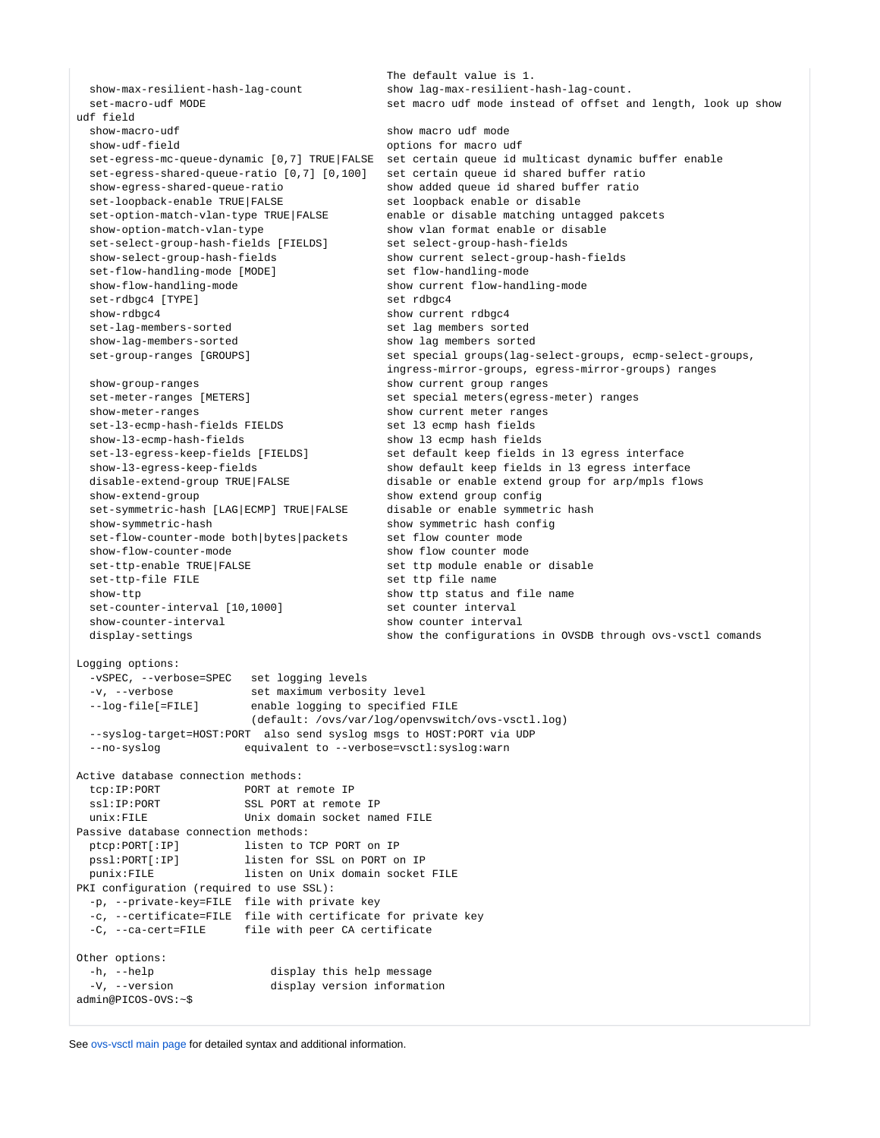```
 The default value is 1.
  show-max-resilient-hash-lag-count show lag-max-resilient-hash-lag-count.
  set-macro-udf MODE set macro udf mode instead of offset and length, look up show 
udf field
  show-macro-udf show macro udf mode
  show-udf-field options for macro udf
  set-egress-mc-queue-dynamic [0,7] TRUE|FALSE set certain queue id multicast dynamic buffer enable
  set-egress-shared-queue-ratio [0,7] [0,100] set certain queue id shared buffer ratio
  show-egress-shared-queue-ratio show added queue id shared buffer ratio
 set-loopback-enable TRUE|FALSE set loopback enable or disable
 set-option-match-vlan-type TRUE|FALSE enable or disable matching untagged pakcets
  show-option-match-vlan-type show vlan format enable or disable
  set-select-group-hash-fields [FIELDS] set select-group-hash-fields
  show-select-group-hash-fields show current select-group-hash-fields
  set-flow-handling-mode [MODE] set flow-handling-mode
  show-flow-handling-mode show current flow-handling-mode
  set-rdbgc4 [TYPE] set rdbgc4
  show-rdbgc4 show current rdbgc4
  set-lag-members-sorted set lag members sorted
  show-lag-members-sorted show lag members sorted
  set-group-ranges [GROUPS] set special groups(lag-select-groups, ecmp-select-groups, 
                                       ingress-mirror-groups, egress-mirror-groups) ranges
  show-group-ranges show current group ranges
 set-meter-ranges [METERS] set special meters(egress-meter) ranges
  show-meter-ranges show current meter ranges
 set-13-ecmp-hash-fields FIELDS set 13 ecmp hash fields
  show-l3-ecmp-hash-fields show l3 ecmp hash fields
  set-l3-egress-keep-fields [FIELDS] set default keep fields in l3 egress interface
  show-l3-egress-keep-fields show default keep fields in l3 egress interface
  disable-extend-group TRUE|FALSE disable or enable extend group for arp/mpls flows
  show-extend-group show extend group config
  set-symmetric-hash [LAG|ECMP] TRUE|FALSE disable or enable symmetric hash
  show-symmetric-hash show symmetric hash config
  set-flow-counter-mode both|bytes|packets set flow counter mode
  show-flow-counter-mode show flow counter mode
 set-ttp-enable TRUE|FALSE set ttp module enable or disable
 set-ttp-file FILE set the file name
 show-ttp shows the status and file name
  set-counter-interval [10,1000] set counter interval 
  show-counter-interval show counter interval 
 display-settings show the configurations in OVSDB through ovs-vsctl comands
Logging options:
  -vSPEC, --verbose=SPEC set logging levels
  -v, --verbose set maximum verbosity level
  --log-file[=FILE] enable logging to specified FILE
                      (default: /ovs/var/log/openvswitch/ovs-vsctl.log)
  --syslog-target=HOST:PORT also send syslog msgs to HOST:PORT via UDP
  --no-syslog equivalent to --verbose=vsctl:syslog:warn
Active database connection methods:
 tcp:IP:PORT PORT at remote IP
 ssl:IP:PORT SSL PORT at remote IP
  unix:FILE Unix domain socket named FILE
Passive database connection methods:
 ptcp:PORT[:IP] listen to TCP PORT on IP
  pssl:PORT[:IP] listen for SSL on PORT on IP
 punix:FILE listen on Unix domain socket FILE
PKI configuration (required to use SSL):
  -p, --private-key=FILE file with private key
  -c, --certificate=FILE file with certificate for private key
  -C, --ca-cert=FILE file with peer CA certificate
Other options:<br>-h, --help
                       display this help message
  -V, --version display version information
admin@PICOS-OVS:~$
```
See [ovs-vsctl main page](http://openvswitch.org/support/dist-docs/ovs-vsctl.8.txt) for detailed syntax and additional information.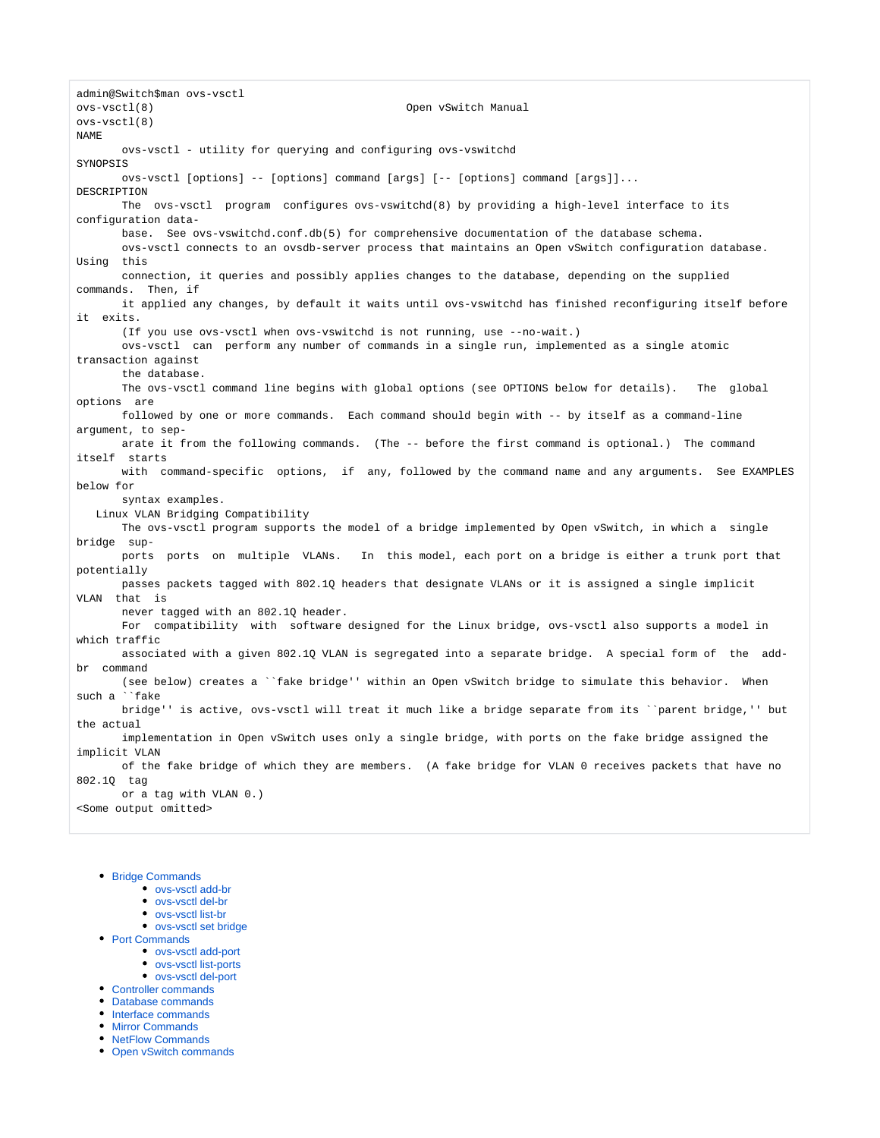admin@Switch\$man ovs-vsctl ovs-vsctl(8) Open vSwitch Manual ovs-vsctl(8) NAME ovs-vsctl - utility for querying and configuring ovs-vswitchd SYNOPSIS ovs-vsctl [options] -- [options] command [args] [-- [options] command [args]]... DESCRIPTION The ovs-vsctl program configures ovs-vswitchd(8) by providing a high-level interface to its configuration data base. See ovs-vswitchd.conf.db(5) for comprehensive documentation of the database schema. ovs-vsctl connects to an ovsdb-server process that maintains an Open vSwitch configuration database. Using this connection, it queries and possibly applies changes to the database, depending on the supplied commands. Then, if it applied any changes, by default it waits until ovs-vswitchd has finished reconfiguring itself before it exits. (If you use ovs-vsctl when ovs-vswitchd is not running, use --no-wait.) ovs-vsctl can perform any number of commands in a single run, implemented as a single atomic transaction against the database. The ovs-vsctl command line begins with global options (see OPTIONS below for details). The global options are followed by one or more commands. Each command should begin with -- by itself as a command-line argument, to sep arate it from the following commands. (The -- before the first command is optional.) The command itself starts with command-specific options, if any, followed by the command name and any arguments. See EXAMPLES below for syntax examples. Linux VLAN Bridging Compatibility The ovs-vsctl program supports the model of a bridge implemented by Open vSwitch, in which a single bridge sup ports ports on multiple VLANs. In this model, each port on a bridge is either a trunk port that potentially passes packets tagged with 802.1Q headers that designate VLANs or it is assigned a single implicit VLAN that is never tagged with an 802.1Q header. For compatibility with software designed for the Linux bridge, ovs-vsctl also supports a model in which traffic associated with a given 802.1Q VLAN is segregated into a separate bridge. A special form of the addbr command (see below) creates a ``fake bridge'' within an Open vSwitch bridge to simulate this behavior. When such a ``fake bridge'' is active, ovs-vsctl will treat it much like a bridge separate from its ``parent bridge,'' but the actual implementation in Open vSwitch uses only a single bridge, with ports on the fake bridge assigned the implicit VLAN of the fake bridge of which they are members. (A fake bridge for VLAN 0 receives packets that have no 802.1Q tag or a tag with VLAN 0.) <Some output omitted>

- [Bridge Commands](https://docs.pica8.com/display/PicOS412sp/Bridge+Commands)
	- [ovs-vsctl add-br](https://docs.pica8.com/display/PicOS412sp/ovs-vsctl+add-br)
		- [ovs-vsctl del-br](https://docs.pica8.com/display/PicOS412sp/ovs-vsctl+del-br)
		- [ovs-vsctl list-br](https://docs.pica8.com/display/PicOS412sp/ovs-vsctl+list-br)
	- [ovs-vsctl set bridge](https://docs.pica8.com/display/PicOS412sp/ovs-vsctl+set+bridge)
- [Port Commands](https://docs.pica8.com/display/PicOS412sp/Port+Commands)
	- [ovs-vsctl add-port](https://docs.pica8.com/display/PicOS412sp/ovs-vsctl+add-port)
	- [ovs-vsctl list-ports](https://docs.pica8.com/display/PicOS412sp/ovs-vsctl+list-ports)
	- [ovs-vsctl del-port](https://docs.pica8.com/display/PicOS412sp/ovs-vsctl+del-port)
- [Controller commands](https://docs.pica8.com/display/PicOS412sp/Controller+commands)
- [Database commands](https://docs.pica8.com/display/PicOS412sp/Database+commands)
- [Interface commands](https://docs.pica8.com/display/PicOS412sp/Interface+commands)
- [Mirror Commands](https://docs.pica8.com/display/PicOS412sp/Mirror+Commands)
- [NetFlow Commands](https://docs.pica8.com/display/PicOS412sp/NetFlow+Commands)
- [Open vSwitch commands](https://docs.pica8.com/display/PicOS412sp/Open+vSwitch+commands)